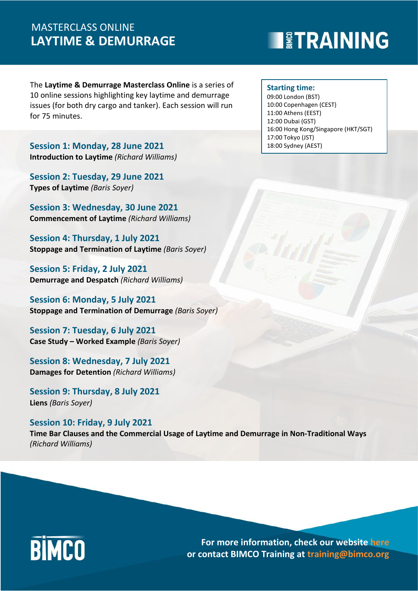## **LAYTIME & DEMURRAGE** MASTERCLASS ONLINE

# **EXPERIENTING**

The **Laytime & Demurrage Masterclass Online** is a series of 10 online sessions highlighting key laytime and demurrage issues (for both dry cargo and tanker). Each session will run for 75 minutes.

**Session 1: Monday, 28 June 2021 Introduction to Laytime** *(Richard Williams)*

**Session 2: Tuesday, 29 June 2021 Types of Laytime** *(Baris Soyer)*

**Session 3: Wednesday, 30 June 2021 Commencement of Laytime** *(Richard Williams)*

**Session 4: Thursday, 1 July 2021 Stoppage and Termination of Laytime** *(Baris Soyer)*

**Session 5: Friday, 2 July 2021 Demurrage and Despatch** *(Richard Williams)*

**Session 6: Monday, 5 July 2021 Stoppage and Termination of Demurrage** *(Baris Soyer)*

**Session 7: Tuesday, 6 July 2021 Case Study – Worked Example** *(Baris Soyer)*

**Session 8: Wednesday, 7 July 2021 Damages for Detention** *(Richard Williams)*

**Session 9: Thursday, 8 July 2021 Liens** *(Baris Soyer)*

**Session 10: Friday, 9 July 2021 Time Bar Clauses and the Commercial Usage of Laytime and Demurrage in Non-Traditional Ways** *(Richard Williams)*

# **BIMCO**

**For more information, check our website [here](https://www.bimco.org/training) or contact BIMCO Training at training@bimco.org**

### **Starting time:**

09:00 London (BST) 10:00 Copenhagen (CEST) 11:00 Athens (EEST) 12:00 Dubai (GST) 16:00 Hong Kong/Singapore (HKT/SGT) 17:00 Tokyo (JST) 18:00 Sydney (AEST)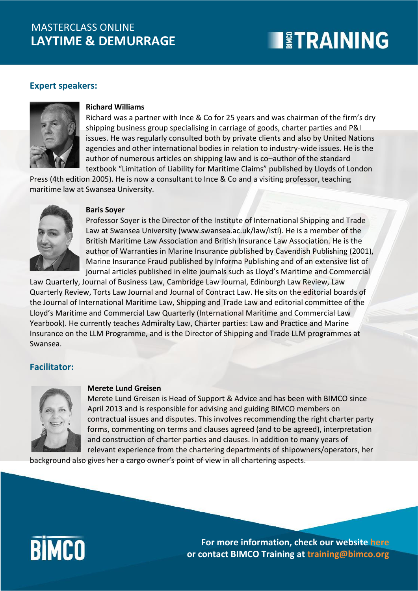## **LAYTIME & DEMURRAGE** MASTERCLASS ONLINE

# **TETRAINING**

### **Expert speakers:**



### **Richard Williams**

Richard was a partner with Ince & Co for 25 years and was chairman of the firm's dry shipping business group specialising in carriage of goods, charter parties and P&I issues. He was regularly consulted both by private clients and also by United Nations agencies and other international bodies in relation to industry-wide issues. He is the author of numerous articles on shipping law and is co–author of the standard textbook "Limitation of Liability for Maritime Claims" published by Lloyds of London

Press (4th edition 2005). He is now a consultant to Ince & Co and a visiting professor, teaching maritime law at Swansea University.



#### **Baris Soyer**

Professor Soyer is the Director of the Institute of International Shipping and Trade Law at Swansea University (www.swansea.ac.uk/law/istl). He is a member of the British Maritime Law Association and British Insurance Law Association. He is the author of Warranties in Marine Insurance published by Cavendish Publishing (2001), Marine Insurance Fraud published by Informa Publishing and of an extensive list of journal articles published in elite journals such as Lloyd's Maritime and Commercial

Law Quarterly, Journal of Business Law, Cambridge Law Journal, Edinburgh Law Review, Law Quarterly Review, Torts Law Journal and Journal of Contract Law. He sits on the editorial boards of the Journal of International Maritime Law, Shipping and Trade Law and editorial committee of the Lloyd's Maritime and Commercial Law Quarterly (International Maritime and Commercial Law Yearbook). He currently teaches Admiralty Law, Charter parties: Law and Practice and Marine Insurance on the LLM Programme, and is the Director of Shipping and Trade LLM programmes at Swansea.

### **Facilitator:**



#### **Merete Lund Greisen**

Merete Lund Greisen is Head of Support & Advice and has been with BIMCO since April 2013 and is responsible for advising and guiding BIMCO members on contractual issues and disputes. This involves recommending the right charter party forms, commenting on terms and clauses agreed (and to be agreed), interpretation and construction of charter parties and clauses. In addition to many years of relevant experience from the chartering departments of shipowners/operators, her

background also gives her a cargo owner's point of view in all chartering aspects.



**For more information, check our website [here](https://www.bimco.org/training) or contact BIMCO Training at training@bimco.org**